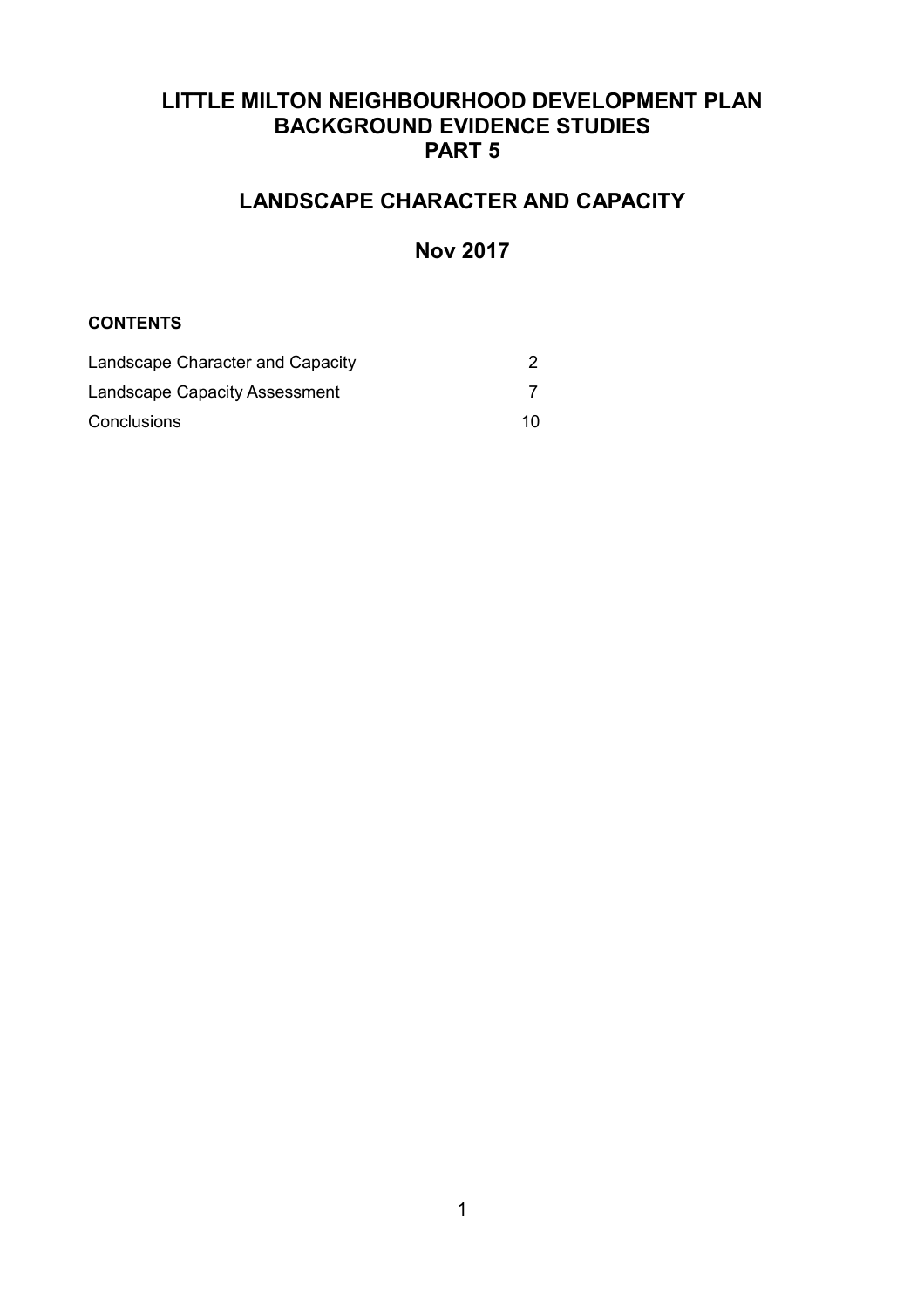# **LITTLE MILTON NEIGHBOURHOOD DEVELOPMENT PLAN BACKGROUND EVIDENCE STUDIES PART 5**

# **LANDSCAPE CHARACTER AND CAPACITY**

# **Nov 2017**

#### **CONTENTS**

| Landscape Character and Capacity |    |
|----------------------------------|----|
| Landscape Capacity Assessment    |    |
| Conclusions                      | 10 |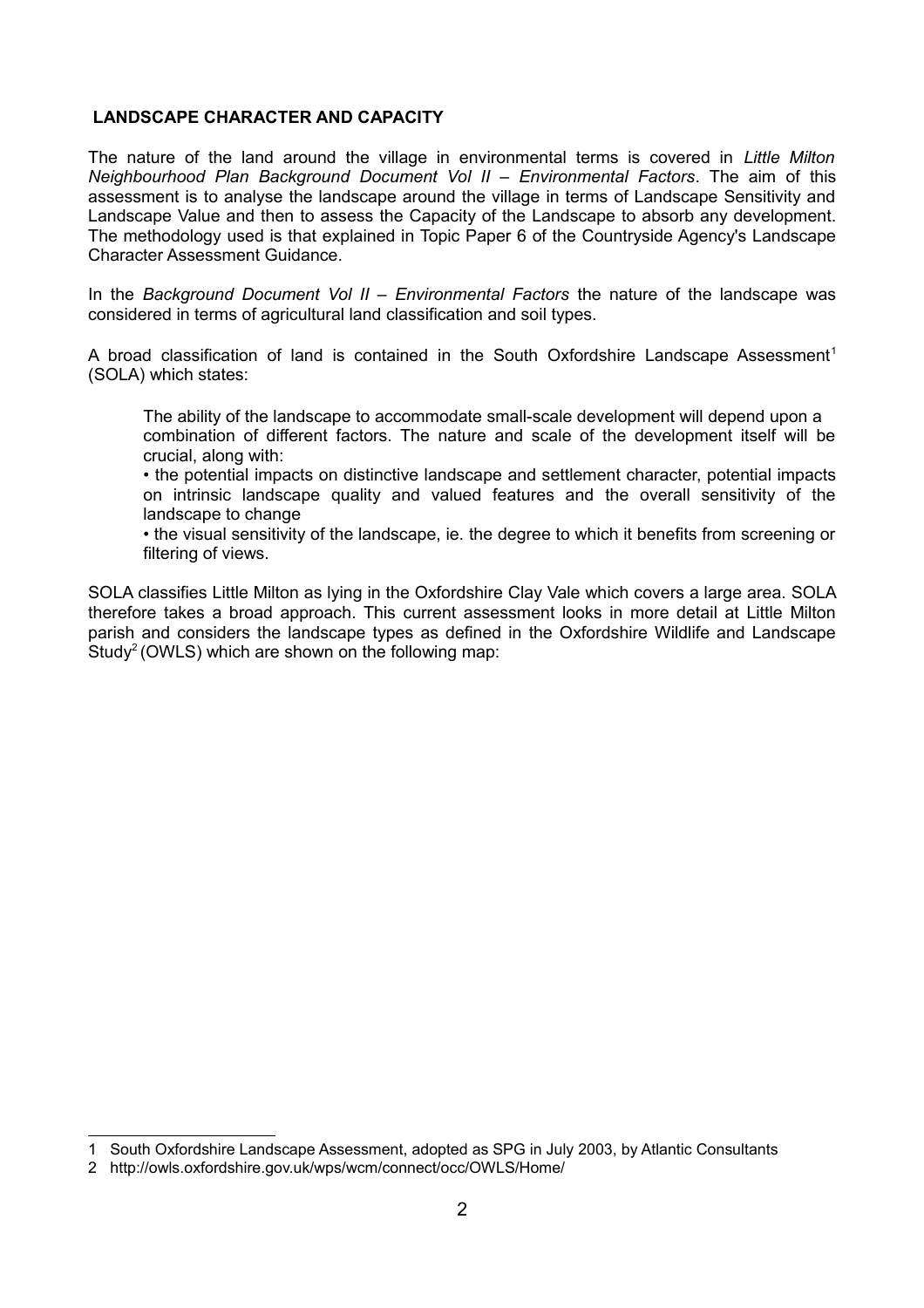### **LANDSCAPE CHARACTER AND CAPACITY**

The nature of the land around the village in environmental terms is covered in *Little Milton Neighbourhood Plan Background Document Vol II – Environmental Factors*. The aim of this assessment is to analyse the landscape around the village in terms of Landscape Sensitivity and Landscape Value and then to assess the Capacity of the Landscape to absorb any development. The methodology used is that explained in Topic Paper 6 of the Countryside Agency's Landscape Character Assessment Guidance.

In the *Background Document Vol II – Environmental Factors* the nature of the landscape was considered in terms of agricultural land classification and soil types.

A broad classification of land is contained in the South Oxfordshire Landscape Assessment<sup>[1](#page-1-0)</sup> (SOLA) which states:

The ability of the landscape to accommodate small-scale development will depend upon a combination of different factors. The nature and scale of the development itself will be crucial, along with:

• the potential impacts on distinctive landscape and settlement character, potential impacts on intrinsic landscape quality and valued features and the overall sensitivity of the landscape to change

• the visual sensitivity of the landscape, ie. the degree to which it benefits from screening or filtering of views.

SOLA classifies Little Milton as lying in the Oxfordshire Clay Vale which covers a large area. SOLA therefore takes a broad approach. This current assessment looks in more detail at Little Milton parish and considers the landscape types as defined in the Oxfordshire Wildlife and Landscape Study<sup>[2](#page-1-1)</sup> (OWLS) which are shown on the following map:

<span id="page-1-0"></span><sup>1</sup> South Oxfordshire Landscape Assessment, adopted as SPG in July 2003, by Atlantic Consultants

<span id="page-1-1"></span><sup>2</sup> http://owls.oxfordshire.gov.uk/wps/wcm/connect/occ/OWLS/Home/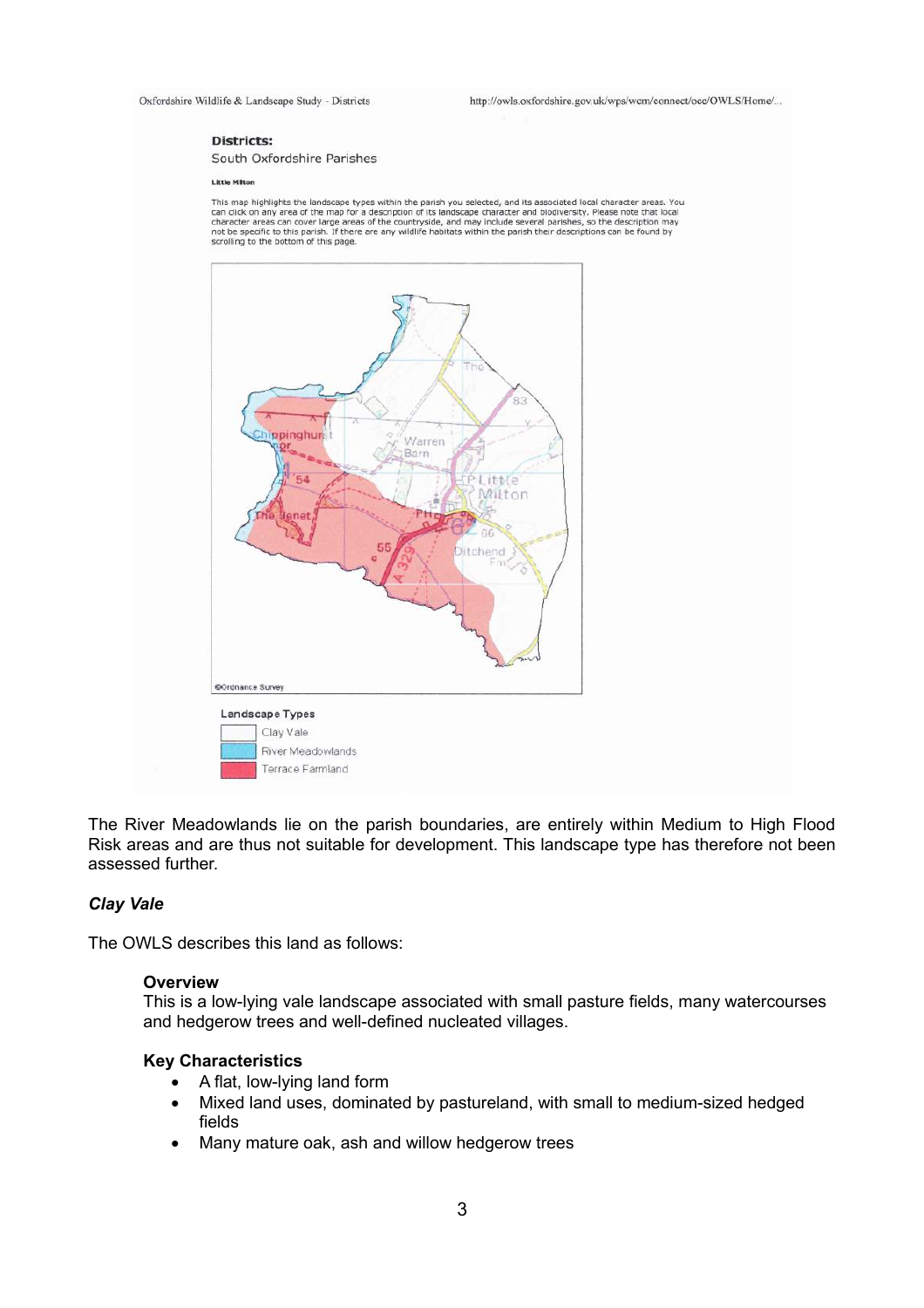Oxfordshire Wildlife & Landscape Study - Districts

http://owls.oxfordshire.gov.uk/wps/wcm/connect/occ/OWLS/Home/...

#### **Districts:**

South Oxfordshire Parishes

#### **Little Milton**

This map highlights the landscape types within the parish you selected, and its associated local character areas. You The main way may area of the map for a description of its landscape character and biodiversity. Please note that local<br>character areas can cover large areas of the countryside, and may include several parishes, so the desc scrolling to the bottom of this page.



The River Meadowlands lie on the parish boundaries, are entirely within Medium to High Flood Risk areas and are thus not suitable for development. This landscape type has therefore not been assessed further.

#### *Clay Vale*

The OWLS describes this land as follows:

#### **Overview**

This is a low-lying vale landscape associated with small pasture fields, many watercourses and hedgerow trees and well-defined nucleated villages.

#### **Key Characteristics**

- A flat, low-lying land form
- Mixed land uses, dominated by pastureland, with small to medium-sized hedged fields
- Many mature oak, ash and willow hedgerow trees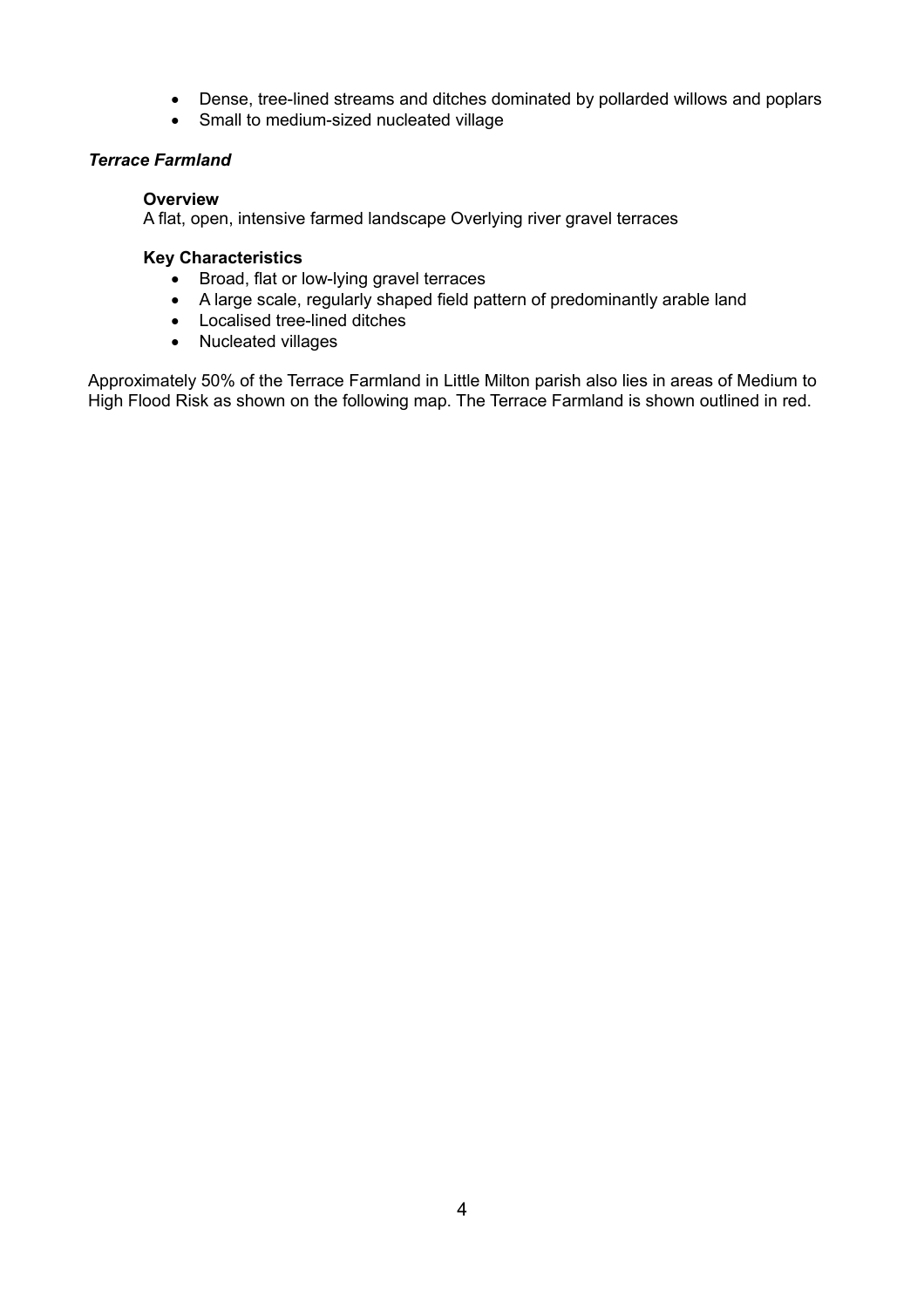- Dense, tree-lined streams and ditches dominated by pollarded willows and poplars
- Small to medium-sized nucleated village

#### *Terrace Farmland*

#### **Overview**

A flat, open, intensive farmed landscape Overlying river gravel terraces

#### **Key Characteristics**

- Broad, flat or low-lying gravel terraces
- A large scale, regularly shaped field pattern of predominantly arable land
- Localised tree-lined ditches
- Nucleated villages

Approximately 50% of the Terrace Farmland in Little Milton parish also lies in areas of Medium to High Flood Risk as shown on the following map. The Terrace Farmland is shown outlined in red.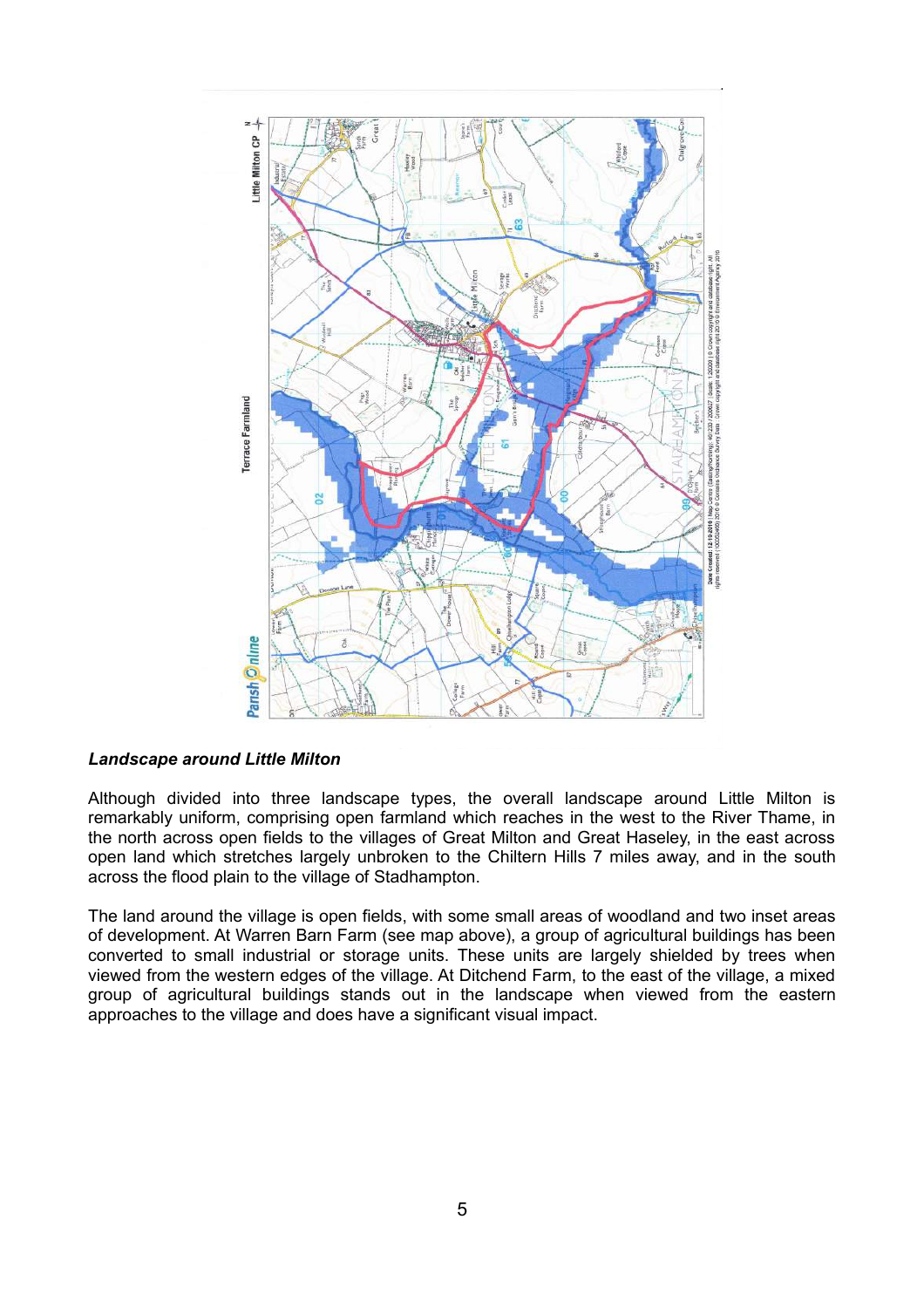

#### *Landscape around Little Milton*

Although divided into three landscape types, the overall landscape around Little Milton is remarkably uniform, comprising open farmland which reaches in the west to the River Thame, in the north across open fields to the villages of Great Milton and Great Haseley, in the east across open land which stretches largely unbroken to the Chiltern Hills 7 miles away, and in the south across the flood plain to the village of Stadhampton.

The land around the village is open fields, with some small areas of woodland and two inset areas of development. At Warren Barn Farm (see map above), a group of agricultural buildings has been converted to small industrial or storage units. These units are largely shielded by trees when viewed from the western edges of the village. At Ditchend Farm, to the east of the village, a mixed group of agricultural buildings stands out in the landscape when viewed from the eastern approaches to the village and does have a significant visual impact.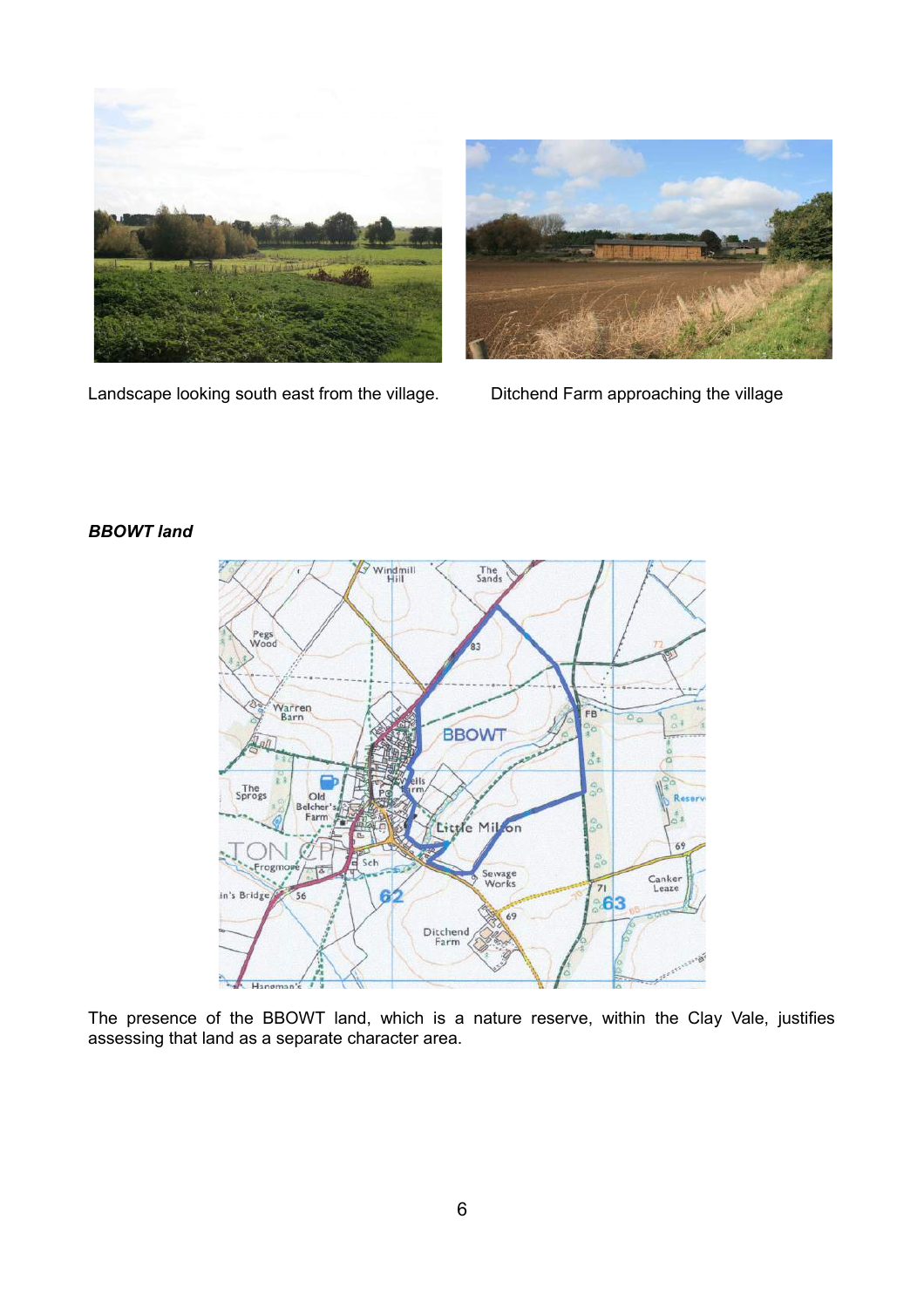



Landscape looking south east from the village. Ditchend Farm approaching the village

## *BBOWT land*



The presence of the BBOWT land, which is a nature reserve, within the Clay Vale, justifies assessing that land as a separate character area.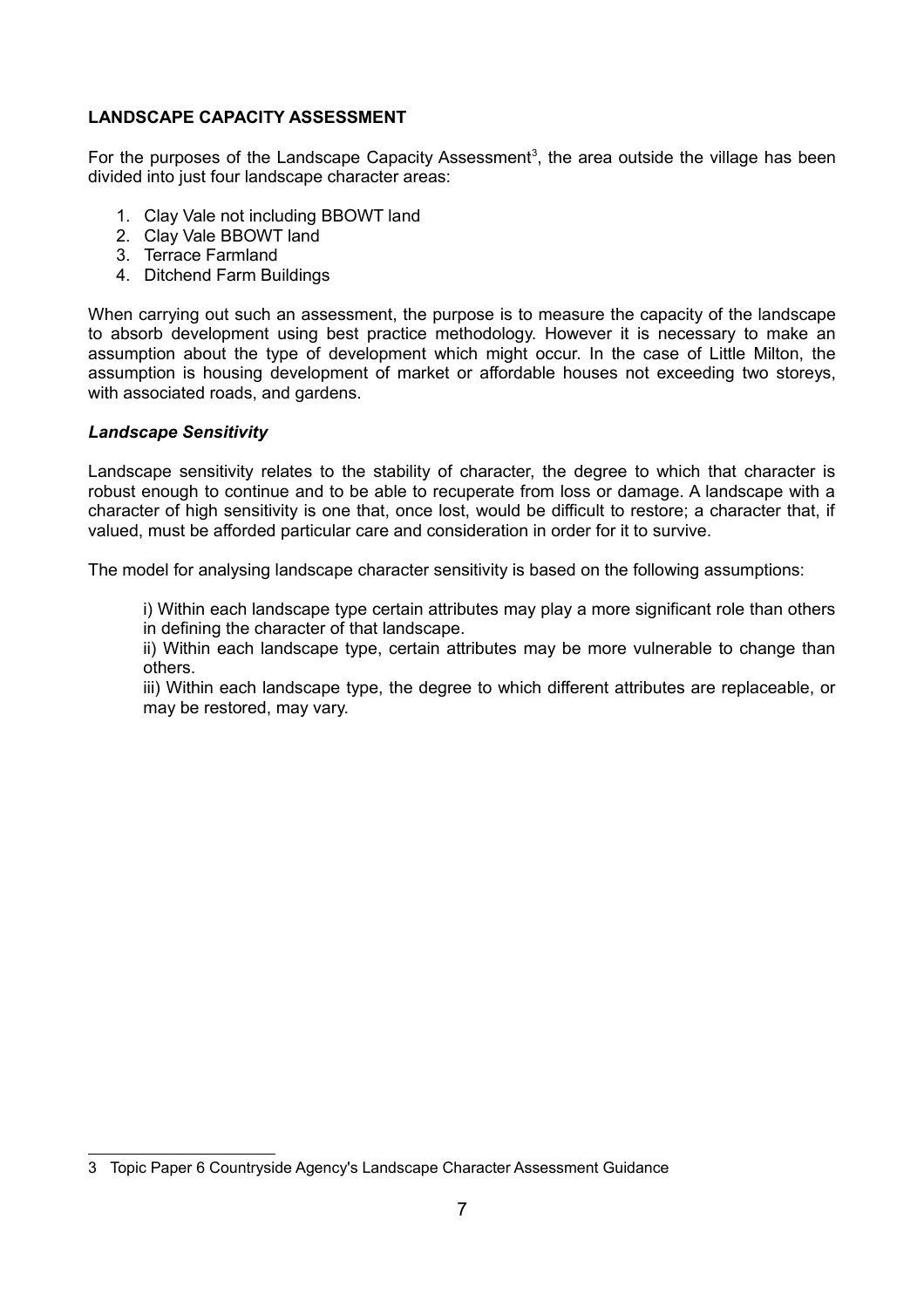## **LANDSCAPE CAPACITY ASSESSMENT**

For the purposes of the Landscape Capacity Assessment<sup>[3](#page-6-0)</sup>, the area outside the village has been divided into just four landscape character areas:

- 1. Clay Vale not including BBOWT land
- 2. Clay Vale BBOWT land
- 3. Terrace Farmland
- 4. Ditchend Farm Buildings

When carrying out such an assessment, the purpose is to measure the capacity of the landscape to absorb development using best practice methodology. However it is necessary to make an assumption about the type of development which might occur. In the case of Little Milton, the assumption is housing development of market or affordable houses not exceeding two storeys, with associated roads, and gardens.

#### *Landscape Sensitivity*

Landscape sensitivity relates to the stability of character, the degree to which that character is robust enough to continue and to be able to recuperate from loss or damage. A landscape with a character of high sensitivity is one that, once lost, would be difficult to restore; a character that, if valued, must be afforded particular care and consideration in order for it to survive.

The model for analysing landscape character sensitivity is based on the following assumptions:

i) Within each landscape type certain attributes may play a more significant role than others in defining the character of that landscape.

ii) Within each landscape type, certain attributes may be more vulnerable to change than others.

iii) Within each landscape type, the degree to which different attributes are replaceable, or may be restored, may vary.

<span id="page-6-0"></span><sup>3</sup> Topic Paper 6 Countryside Agency's Landscape Character Assessment Guidance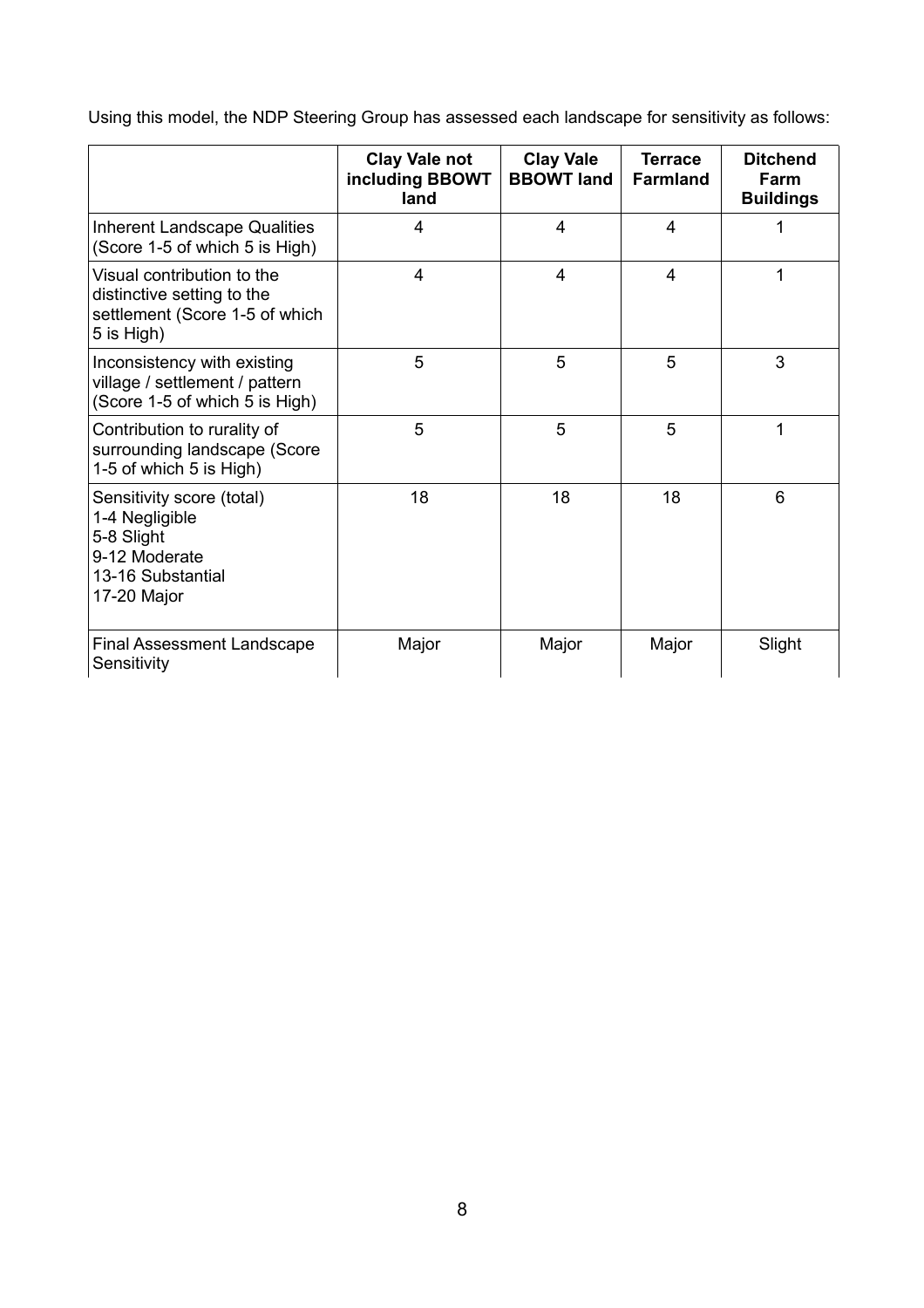Using this model, the NDP Steering Group has assessed each landscape for sensitivity as follows:

|                                                                                                                | <b>Clay Vale not</b><br>including BBOWT<br>land | <b>Clay Vale</b><br><b>BBOWT land</b> | <b>Terrace</b><br><b>Farmland</b> | <b>Ditchend</b><br>Farm<br><b>Buildings</b> |
|----------------------------------------------------------------------------------------------------------------|-------------------------------------------------|---------------------------------------|-----------------------------------|---------------------------------------------|
| <b>Inherent Landscape Qualities</b><br>(Score 1-5 of which 5 is High)                                          | 4                                               | $\overline{4}$                        | $\overline{4}$                    |                                             |
| Visual contribution to the<br>distinctive setting to the<br>settlement (Score 1-5 of which<br>5 is High)       | 4                                               | $\overline{4}$                        | 4                                 | 1                                           |
| Inconsistency with existing<br>village / settlement / pattern<br>(Score 1-5 of which 5 is High)                | 5                                               | 5                                     | 5                                 | 3                                           |
| Contribution to rurality of<br>surrounding landscape (Score<br>1-5 of which 5 is High)                         | 5                                               | 5                                     | 5                                 | 1                                           |
| Sensitivity score (total)<br>1-4 Negligible<br>5-8 Slight<br>9-12 Moderate<br>13-16 Substantial<br>17-20 Major | 18                                              | 18                                    | 18                                | 6                                           |
| <b>Final Assessment Landscape</b><br>Sensitivity                                                               | Major                                           | Major                                 | Major                             | Slight                                      |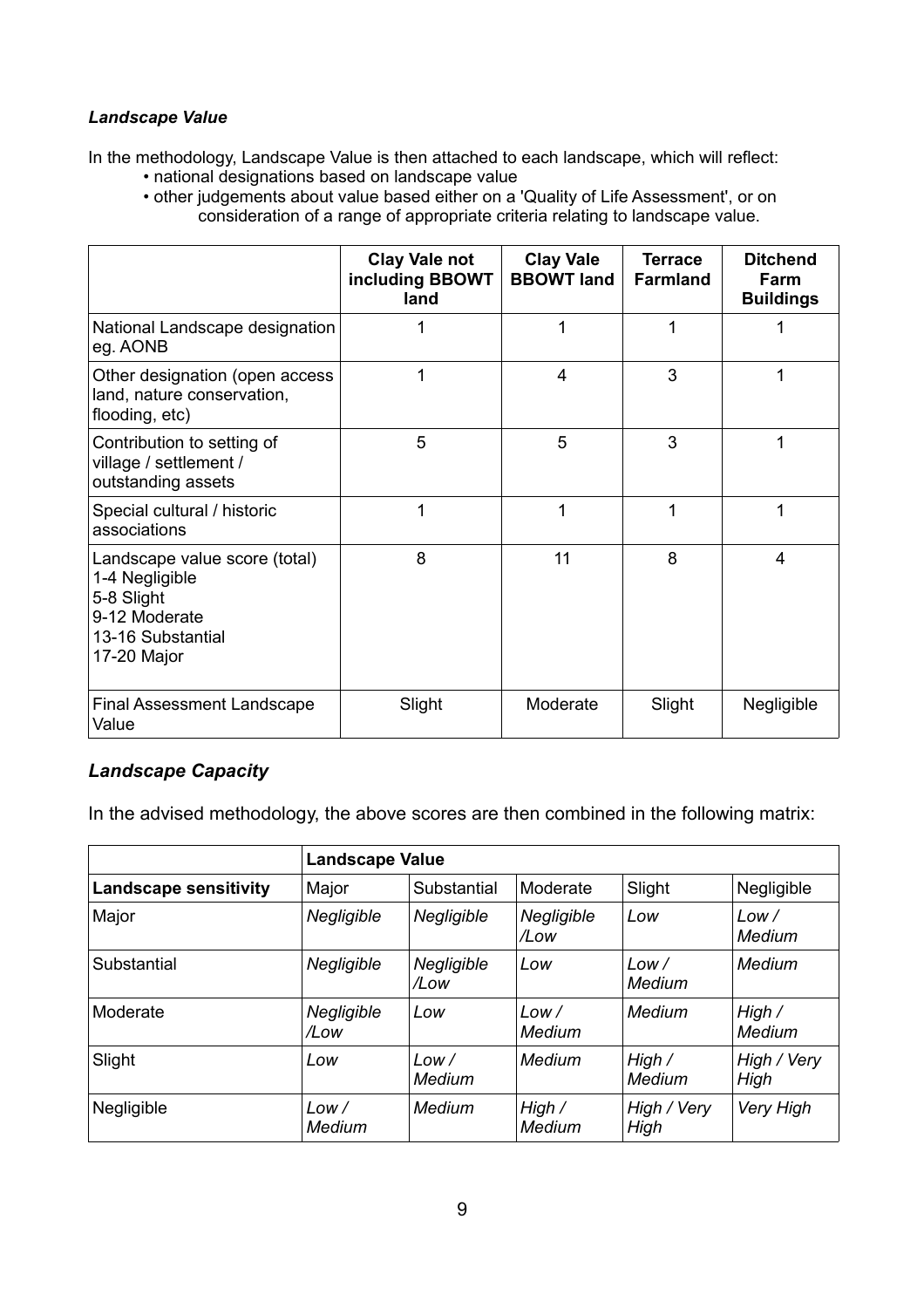## *Landscape Value*

In the methodology, Landscape Value is then attached to each landscape, which will reflect:

- national designations based on landscape value
- other judgements about value based either on a 'Quality of Life Assessment', or on consideration of a range of appropriate criteria relating to landscape value.

|                                                                                                                    | <b>Clay Vale not</b><br>including BBOWT<br>land | <b>Clay Vale</b><br><b>BBOWT land</b> | <b>Terrace</b><br><b>Farmland</b> | <b>Ditchend</b><br>Farm<br><b>Buildings</b> |
|--------------------------------------------------------------------------------------------------------------------|-------------------------------------------------|---------------------------------------|-----------------------------------|---------------------------------------------|
| National Landscape designation<br>eg. AONB                                                                         |                                                 | 1                                     | 1                                 |                                             |
| Other designation (open access<br>land, nature conservation,<br>flooding, etc)                                     |                                                 | 4                                     | 3                                 |                                             |
| Contribution to setting of<br>village / settlement /<br>outstanding assets                                         | 5                                               | 5                                     | 3                                 |                                             |
| Special cultural / historic<br>associations                                                                        | 1                                               | 1                                     | 1                                 |                                             |
| Landscape value score (total)<br>1-4 Negligible<br>5-8 Slight<br>9-12 Moderate<br>13-16 Substantial<br>17-20 Major | 8                                               | 11                                    | 8                                 | 4                                           |
| <b>Final Assessment Landscape</b><br>Value                                                                         | Slight                                          | Moderate                              | Slight                            | Negligible                                  |

## *Landscape Capacity*

In the advised methodology, the above scores are then combined in the following matrix:

|                              | <b>Landscape Value</b> |                       |                    |                     |                     |
|------------------------------|------------------------|-----------------------|--------------------|---------------------|---------------------|
| <b>Landscape sensitivity</b> | Major                  | Substantial           | Moderate           | Slight              | Negligible          |
| Major                        | Negligible             | Negligible            | Negligible<br>/Low | Low                 | Low/<br>Medium      |
| Substantial                  | Negligible             | Negligible<br>/Low    | Low                | Low/<br>Medium      | Medium              |
| Moderate                     | Negligible<br>/Low     | Low                   | Low/<br>Medium     | Medium              | High /<br>Medium    |
| Slight                       | Low                    | Low/<br><b>Medium</b> | Medium             | High /<br>Medium    | High / Very<br>High |
| Negligible                   | Low/<br>Medium         | Medium                | High /<br>Medium   | High / Very<br>High | Very High           |